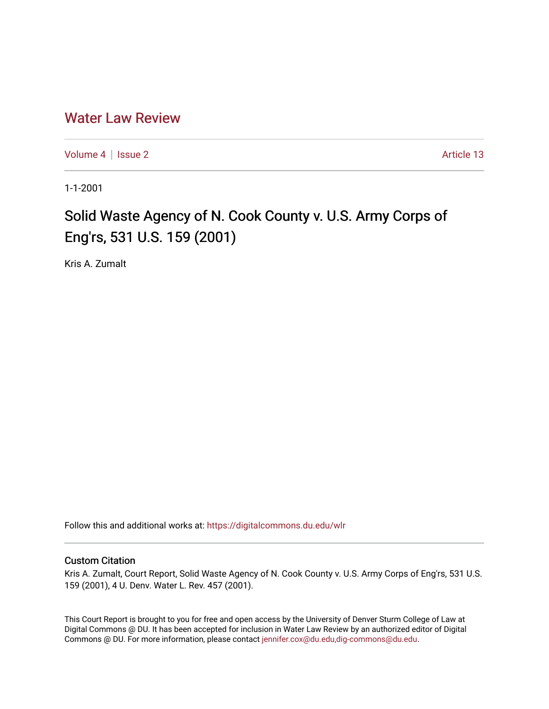# [Water Law Review](https://digitalcommons.du.edu/wlr)

[Volume 4](https://digitalcommons.du.edu/wlr/vol4) | [Issue 2](https://digitalcommons.du.edu/wlr/vol4/iss2) Article 13

1-1-2001

# Solid Waste Agency of N. Cook County v. U.S. Army Corps of Eng'rs, 531 U.S. 159 (2001)

Kris A. Zumalt

Follow this and additional works at: [https://digitalcommons.du.edu/wlr](https://digitalcommons.du.edu/wlr?utm_source=digitalcommons.du.edu%2Fwlr%2Fvol4%2Fiss2%2F13&utm_medium=PDF&utm_campaign=PDFCoverPages) 

### Custom Citation

Kris A. Zumalt, Court Report, Solid Waste Agency of N. Cook County v. U.S. Army Corps of Eng'rs, 531 U.S. 159 (2001), 4 U. Denv. Water L. Rev. 457 (2001).

This Court Report is brought to you for free and open access by the University of Denver Sturm College of Law at Digital Commons @ DU. It has been accepted for inclusion in Water Law Review by an authorized editor of Digital Commons @ DU. For more information, please contact [jennifer.cox@du.edu,dig-commons@du.edu.](mailto:jennifer.cox@du.edu,dig-commons@du.edu)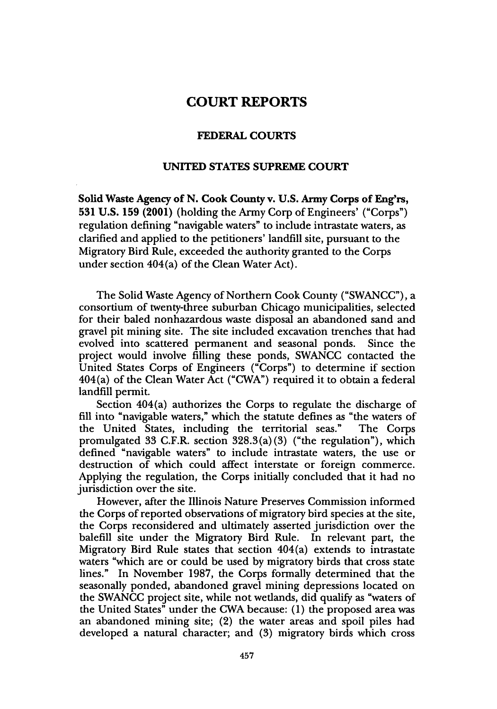## **COURT REPORTS**

#### **FEDERAL COURTS**

#### **UNITED STATES SUPREME COURT**

**Solid Waste Agency of N. Cook County v. U.S. Army Corps of Eng'rs, 531 U.S. 159 (2001) (holding the Army Corp of** Engineers' ("Corps") regulation defining "navigable waters" to include intrastate waters, as clarified and applied to the petitioners' landfill site, pursuant to the Migratory Bird Rule, exceeded the authority granted to the Corps under section 404(a) of the Clean Water Act).

The Solid Waste Agency of Northern Cook County ("SWANCC"), a consortium of twenty-three suburban Chicago municipalities, selected for their baled nonhazardous waste disposal an abandoned sand and gravel pit mining site. The site included excavation trenches that had evolved into scattered permanent and seasonal ponds. Since the project would involve filling these ponds, SWANCC contacted the United States Corps of Engineers ("Corps") to determine if section 404(a) of the Clean Water Act ("CWA") required it to obtain a federal landfill permit.

Section 404(a) authorizes the Corps to regulate the discharge of fill into "navigable waters," which the statute defines as "the waters of the United States, including the territorial seas." The Corps promulgated 33 C.F.R. section  $328.3(a)(3)$  ("the regulation"), which defined "navigable waters" to include intrastate waters, the use or destruction of which could affect interstate or foreign commerce. Applying the regulation, the Corps initially concluded that it had no jurisdiction over the site.

However, after the Illinois Nature Preserves Commission informed the Corps of reported observations of migratory bird species at the site, the Corps reconsidered and ultimately asserted jurisdiction over the balefill site under the Migratory Bird Rule. In relevant part, the Migratory Bird Rule states that section 404(a) extends to intrastate waters "which are or could be used by migratory birds that cross state lines." In November 1987, the Corps formally determined that the seasonally ponded, abandoned gravel mining depressions located on the SWANCC project site, while not wetlands, did qualify as "waters of the United States" under the CWA because: (1) the proposed area was an abandoned mining site; (2) the water areas and spoil piles had developed a natural character; and (3) migratory birds which cross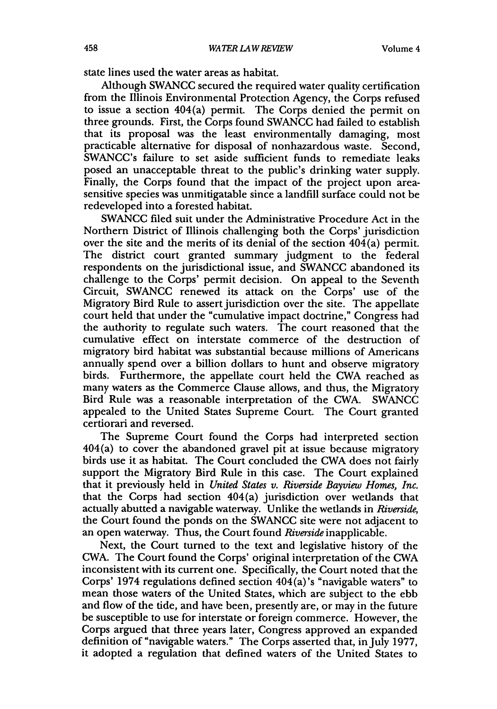state lines used the water areas as habitat.

Although SWANCC secured the required water quality certification from the Illinois Environmental Protection Agency, the Corps refused to issue a section 404(a) permit. The Corps denied the permit on three grounds. First, the Corps found SWANCC had failed to establish that its proposal was the least environmentally damaging, most practicable alternative for disposal of nonhazardous waste. Second, SWANCC's failure to set aside sufficient funds to remediate leaks posed an unacceptable threat to the public's drinking water supply. Finally, the Corps found that the impact of the project upon areasensitive species was unmitigatable since a landfill surface could not be redeveloped into a forested habitat.

SWANCC filed suit under the Administrative Procedure Act in the Northern District of Illinois challenging both the Corps' jurisdiction over the site and the merits of its denial of the section  $404(a)$  permit. The district court granted summary judgment to the federal respondents on the jurisdictional issue, and SWANCC abandoned its challenge to the Corps' permit decision. On appeal to the Seventh Circuit, SWANCC renewed its attack on the Corps' use of the Migratory Bird Rule to assert jurisdiction over the site. The appellate court held that under the "cumulative impact doctrine," Congress had the authority to regulate such waters. The court reasoned that the cumulative effect on interstate commerce of the destruction of migratory bird habitat was substantial because millions of Americans annually spend over a billion dollars to hunt and observe migratory birds. Furthermore, the appellate court held the CWA reached as many waters as the Commerce Clause allows, and thus, the Migratory Bird Rule was a reasonable interpretation of the CWA. SWANCC appealed to the United States Supreme Court. The Court granted certiorari and reversed.

The Supreme Court found the Corps had interpreted section 404(a) to cover the abandoned gravel pit at issue because migratory birds use it as habitat. The Court concluded the CWA does not fairly support the Migratory Bird Rule in this case. The Court explained that it previously held in *United States v. Riverside Bayview Homes, Inc.* that the Corps had section 404(a) jurisdiction over wetlands that actually abutted a navigable waterway. Unlike the wetlands in *Riverside,* the Court found the ponds on the SWANCC site were not adjacent to an open waterway. Thus, the Court found *Riverside* inapplicable.

Next, the Court turned to the text and legislative history of the CWA. The Court found the Corps' original interpretation of the CWA inconsistent with its current one. Specifically, the Court noted that the Corps' 1974 regulations defined section 404(a)'s "navigable waters" to mean those waters of the United States, which are subject to the ebb and flow of the tide, and have been, presently are, or may in the future be susceptible to use for interstate or foreign commerce. However, the Corps argued that three years later, Congress approved an expanded definition of "navigable waters." The Corps asserted that, in July 1977, it adopted a regulation that defined waters of the United States to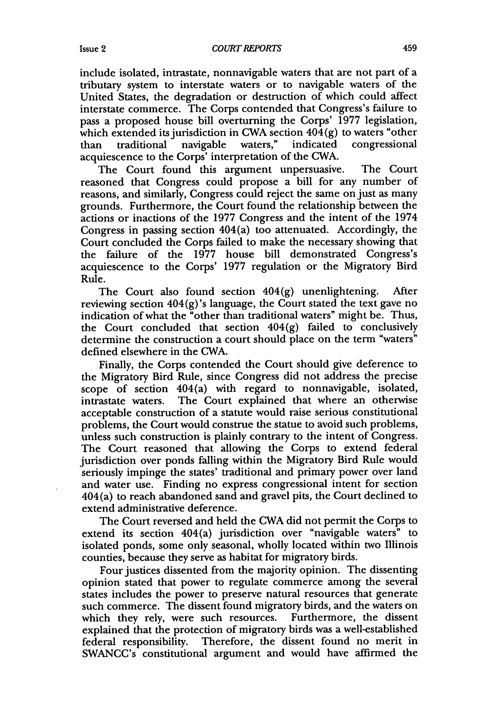include isolated, intrastate, nonnavigable waters that are not part of a tributary system to interstate waters or to navigable waters of the United States, the degradation or destruction of which could affect interstate commerce. The Corps contended that Congress's failure to pass a proposed house bill overturning the Corps' 1977 legislation, which extended its jurisdiction in CWA section  $404(g)$  to waters "other than traditional navigable waters," indicated congressional traditional navigable waters," indicated acquiescence to the Corps' interpretation of the CWA.

The Court found this argument unpersuasive. The Court reasoned that Congress could propose a bill for any number of reasons, and similarly, Congress could reject the same on just as many grounds. Furthermore, the Court found the relationship between the actions or inactions of the 1977 Congress and the intent of the 1974 Congress in passing section 404(a) too attenuated. Accordingly, the Court concluded the Corps failed to make the necessary showing that the failure of the 1977 house bill demonstrated Congress's acquiescence to the Corps' 1977 regulation or the Migratory Bird Rule.

The Court also found section  $404(g)$  unenlightening. After reviewing section  $404(g)$ 's language, the Court stated the text gave no indication of what the "other than traditional waters" might be. Thus, the Court concluded that section 404(g) failed to conclusively determine the construction a court should place on the term "waters" defined elsewhere in the CWA.

Finally, the Corps contended the Court should give deference to the Migratory Bird Rule, since Congress did not address the precise scope of section  $404(a)$  with regard to nonnavigable, isolated, intrastate waters. The Court explained that where an otherwise acceptable construction of a statute would raise serious constitutional problems, the Court would construe the statue to avoid such problems, unless such construction is plainly contrary to the intent of Congress. The Court reasoned that allowing the Corps to extend federal jurisdiction over ponds falling within the Migratory Bird Rule would seriously impinge the states' traditional and primary power over land and water use. Finding no express congressional intent for section 404(a) to reach abandoned sand and gravel pits, the Court declined to extend administrative deference.

The Court reversed and held the CWA did not permit the Corps to extend its section 404(a) jurisdiction over "navigable waters" to isolated ponds, some only seasonal, wholly located within two Illinois counties, because they serve as habitat for migratory birds.

Four justices dissented from the majority opinion. The dissenting opinion stated that power to regulate commerce among the several states includes the power to preserve natural resources that generate such commerce. The dissent found migratory birds, and the waters on which they rely, were such resources. Furthermore, the dissent explained that the protection of migratory birds was a well-established federal responsibility. Therefore, the dissent found no merit in SWANCC's constitutional argument and would have affirmed the